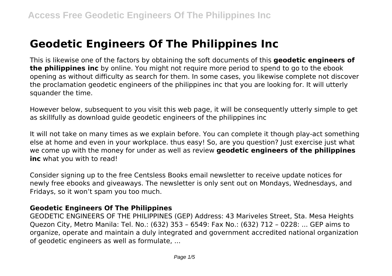# **Geodetic Engineers Of The Philippines Inc**

This is likewise one of the factors by obtaining the soft documents of this **geodetic engineers of the philippines inc** by online. You might not require more period to spend to go to the ebook opening as without difficulty as search for them. In some cases, you likewise complete not discover the proclamation geodetic engineers of the philippines inc that you are looking for. It will utterly squander the time.

However below, subsequent to you visit this web page, it will be consequently utterly simple to get as skillfully as download guide geodetic engineers of the philippines inc

It will not take on many times as we explain before. You can complete it though play-act something else at home and even in your workplace. thus easy! So, are you question? Just exercise just what we come up with the money for under as well as review **geodetic engineers of the philippines inc** what you with to read!

Consider signing up to the free Centsless Books email newsletter to receive update notices for newly free ebooks and giveaways. The newsletter is only sent out on Mondays, Wednesdays, and Fridays, so it won't spam you too much.

#### **Geodetic Engineers Of The Philippines**

GEODETIC ENGINEERS OF THE PHILIPPINES (GEP) Address: 43 Mariveles Street, Sta. Mesa Heights Quezon City, Metro Manila: Tel. No.: (632) 353 – 6549: Fax No.: (632) 712 – 0228: ... GEP aims to organize, operate and maintain a duly integrated and government accredited national organization of geodetic engineers as well as formulate, ...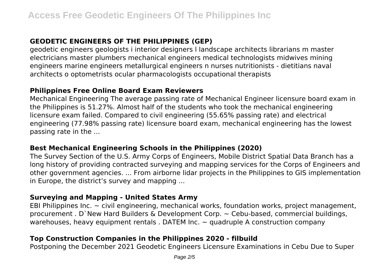# **GEODETIC ENGINEERS OF THE PHILIPPINES (GEP)**

geodetic engineers geologists i interior designers l landscape architects librarians m master electricians master plumbers mechanical engineers medical technologists midwives mining engineers marine engineers metallurgical engineers n nurses nutritionists - dietitians naval architects o optometrists ocular pharmacologists occupational therapists

## **Philippines Free Online Board Exam Reviewers**

Mechanical Engineering The average passing rate of Mechanical Engineer licensure board exam in the Philippines is 51.27%. Almost half of the students who took the mechanical engineering licensure exam failed. Compared to civil engineering (55.65% passing rate) and electrical engineering (77.98% passing rate) licensure board exam, mechanical engineering has the lowest passing rate in the ...

## **Best Mechanical Engineering Schools in the Philippines (2020)**

The Survey Section of the U.S. Army Corps of Engineers, Mobile District Spatial Data Branch has a long history of providing contracted surveying and mapping services for the Corps of Engineers and other government agencies. ... From airborne lidar projects in the Philippines to GIS implementation in Europe, the district's survey and mapping ...

## **Surveying and Mapping - United States Army**

EBI Philippines Inc.  $\sim$  civil engineering, mechanical works, foundation works, project management, procurement . D`New Hard Builders & Development Corp. ~ Cebu-based, commercial buildings, warehouses, heavy equipment rentals . DATEM Inc.  $\sim$  quadruple A construction company

# **Top Construction Companies in the Philippines 2020 - filbuild**

Postponing the December 2021 Geodetic Engineers Licensure Examinations in Cebu Due to Super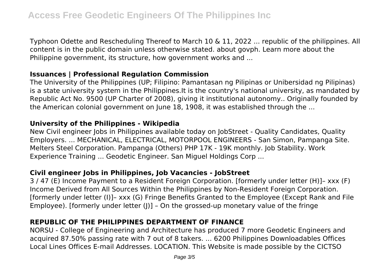Typhoon Odette and Rescheduling Thereof to March 10 & 11, 2022 ... republic of the philippines. All content is in the public domain unless otherwise stated. about govph. Learn more about the Philippine government, its structure, how government works and ...

## **Issuances | Professional Regulation Commission**

The University of the Philippines (UP; Filipino: Pamantasan ng Pilipinas or Unibersidad ng Pilipinas) is a state university system in the Philippines.It is the country's national university, as mandated by Republic Act No. 9500 (UP Charter of 2008), giving it institutional autonomy.. Originally founded by the American colonial government on June 18, 1908, it was established through the ...

## **University of the Philippines - Wikipedia**

New Civil engineer Jobs in Philippines available today on JobStreet - Quality Candidates, Quality Employers. ... MECHANICAL, ELECTRICAL, MOTORPOOL ENGINEERS - San Simon, Pampanga Site. Melters Steel Corporation. Pampanga (Others) PHP 17K - 19K monthly. Job Stability. Work Experience Training ... Geodetic Engineer. San Miguel Holdings Corp ...

# **Civil engineer Jobs in Philippines, Job Vacancies - JobStreet**

3 / 47 (E) Income Payment to a Resident Foreign Corporation. [formerly under letter (H)]– xxx (F) Income Derived from All Sources Within the Philippines by Non-Resident Foreign Corporation. [formerly under letter (I)]– xxx (G) Fringe Benefits Granted to the Employee (Except Rank and File Employee). [formerly under letter  $(|)$ ] - On the grossed-up monetary value of the fringe

# **REPUBLIC OF THE PHILIPPINES DEPARTMENT OF FINANCE**

NORSU - College of Engineering and Architecture has produced 7 more Geodetic Engineers and acquired 87.50% passing rate with 7 out of 8 takers. ... 6200 Philippines Downloadables Offices Local Lines Offices E-mail Addresses. LOCATION. This Website is made possible by the CICTSO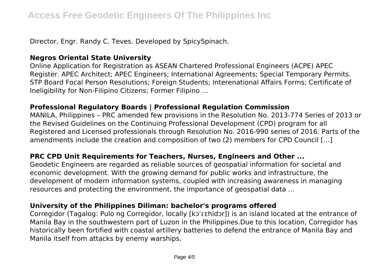Director, Engr. Randy C. Teves. Developed by SpicySpinach.

# **Negros Oriental State University**

Online Application for Registration as ASEAN Chartered Professional Engineers (ACPE) APEC Register. APEC Architect; APEC Engineers; International Agreements; Special Temporary Permits. STP Board Focal Person Resolutions; Foreign Students; Interenational Affairs Forms; Certificate of Ineligibility for Non-Filipino Citizens; Former Filipino ...

## **Professional Regulatory Boards | Professional Regulation Commission**

MANILA, Philippines – PRC amended few provisions in the Resolution No. 2013-774 Series of 2013 or the Revised Guidelines on the Continuing Professional Development (CPD) program for all Registered and Licensed professionals through Resolution No. 2016-990 series of 2016. Parts of the amendments include the creation and composition of two (2) members for CPD Council […]

# **PRC CPD Unit Requirements for Teachers, Nurses, Engineers and Other ...**

Geodetic Engineers are regarded as reliable sources of geospatial information for societal and economic development. With the growing demand for public works and infrastructure, the development of modern information systems, coupled with increasing awareness in managing resources and protecting the environment, the importance of geospatial data ...

# **University of the Philippines Diliman: bachelor's programs offered**

Corregidor (Tagalog: Pulo ng Corregidor, locally [kɔˈɾɛhidɔr]) is an island located at the entrance of Manila Bay in the southwestern part of Luzon in the Philippines.Due to this location, Corregidor has historically been fortified with coastal artillery batteries to defend the entrance of Manila Bay and Manila itself from attacks by enemy warships.